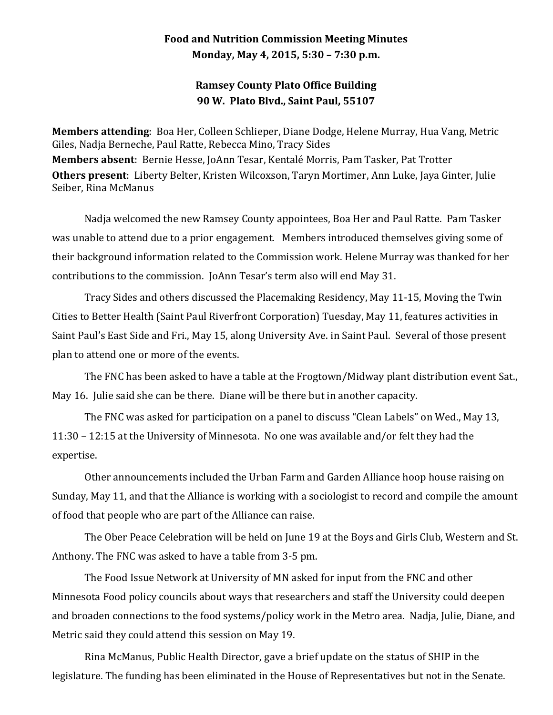## **Food and Nutrition Commission Meeting Minutes Monday, May 4, 2015, 5:30 – 7:30 p.m.**

## **Ramsey County Plato Office Building 90 W. Plato Blvd., Saint Paul, 55107**

**Members attending**: Boa Her, Colleen Schlieper, Diane Dodge, Helene Murray, Hua Vang, Metric Giles, Nadja Berneche, Paul Ratte, Rebecca Mino, Tracy Sides **Members absent**: Bernie Hesse, JoAnn Tesar, Kentalé Morris, Pam Tasker, Pat Trotter **Others present**: Liberty Belter, Kristen Wilcoxson, Taryn Mortimer, Ann Luke, Jaya Ginter, Julie Seiber, Rina McManus

Nadja welcomed the new Ramsey County appointees, Boa Her and Paul Ratte. Pam Tasker was unable to attend due to a prior engagement. Members introduced themselves giving some of their background information related to the Commission work. Helene Murray was thanked for her contributions to the commission. JoAnn Tesar's term also will end May 31.

Tracy Sides and others discussed the Placemaking Residency, May 11-15, Moving the Twin Cities to Better Health (Saint Paul Riverfront Corporation) Tuesday, May 11, features activities in Saint Paul's East Side and Fri., May 15, along University Ave. in Saint Paul. Several of those present plan to attend one or more of the events.

The FNC has been asked to have a table at the Frogtown/Midway plant distribution event Sat., May 16. Julie said she can be there. Diane will be there but in another capacity.

The FNC was asked for participation on a panel to discuss "Clean Labels" on Wed., May 13, 11:30 – 12:15 at the University of Minnesota. No one was available and/or felt they had the expertise.

Other announcements included the Urban Farm and Garden Alliance hoop house raising on Sunday, May 11, and that the Alliance is working with a sociologist to record and compile the amount of food that people who are part of the Alliance can raise.

The Ober Peace Celebration will be held on June 19 at the Boys and Girls Club, Western and St. Anthony. The FNC was asked to have a table from 3-5 pm.

The Food Issue Network at University of MN asked for input from the FNC and other Minnesota Food policy councils about ways that researchers and staff the University could deepen and broaden connections to the food systems/policy work in the Metro area. Nadja, Julie, Diane, and Metric said they could attend this session on May 19.

Rina McManus, Public Health Director, gave a brief update on the status of SHIP in the legislature. The funding has been eliminated in the House of Representatives but not in the Senate.